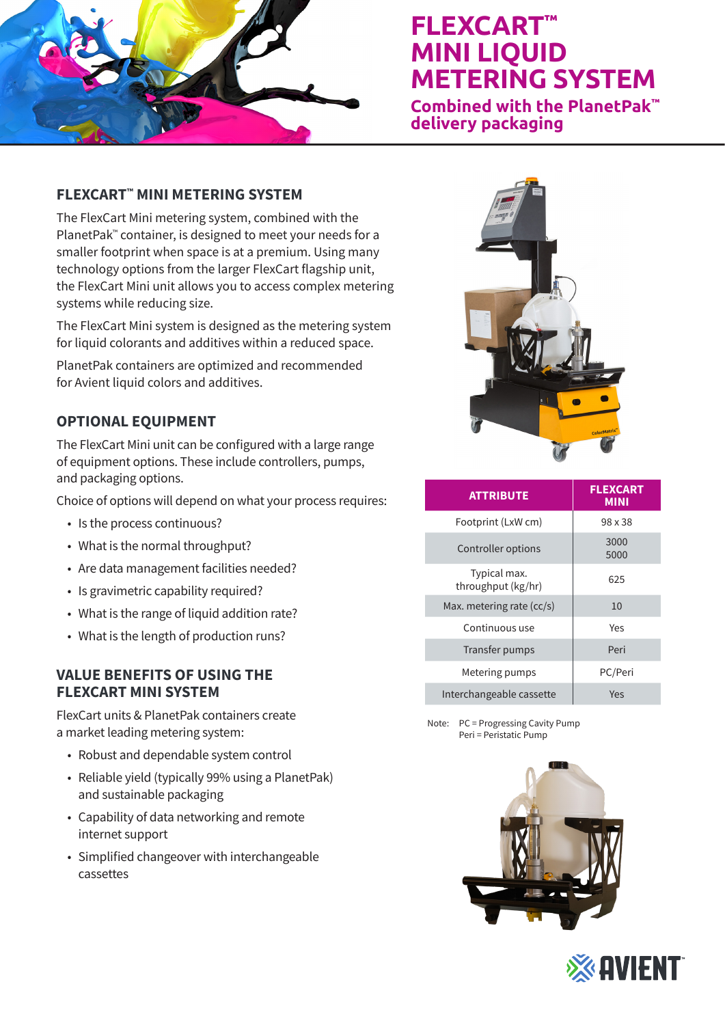

# **FLEXCART™ MINI LIQUID METERING SYSTEM**

**Combined with the PlanetPak™ delivery packaging**

## **FLEXCART™ MINI METERING SYSTEM**

The FlexCart Mini metering system, combined with the PlanetPak™ container, is designed to meet your needs for a smaller footprint when space is at a premium. Using many technology options from the larger FlexCart flagship unit, the FlexCart Mini unit allows you to access complex metering systems while reducing size.

The FlexCart Mini system is designed as the metering system for liquid colorants and additives within a reduced space.

PlanetPak containers are optimized and recommended for Avient liquid colors and additives.

#### **OPTIONAL EQUIPMENT**

The FlexCart Mini unit can be configured with a large range of equipment options. These include controllers, pumps, and packaging options.

Choice of options will depend on what your process requires:

- Is the process continuous?
- What is the normal throughput?
- Are data management facilities needed?
- Is gravimetric capability required?
- What is the range of liquid addition rate?
- What is the length of production runs?

#### **VALUE BENEFITS OF USING THE FLEXCART MINI SYSTEM**

FlexCart units & PlanetPak containers create a market leading metering system:

- Robust and dependable system control
- Reliable yield (typically 99% using a PlanetPak) and sustainable packaging
- Capability of data networking and remote internet support
- Simplified changeover with interchangeable cassettes



| <b>ATTRIBUTE</b>                   | <b>FLEXCART</b><br><b>MINI</b> |
|------------------------------------|--------------------------------|
| Footprint (LxW cm)                 | 98 x 38                        |
| Controller options                 | 3000<br>5000                   |
| Typical max.<br>throughput (kg/hr) | 625                            |
| Max. metering rate $(cc/s)$        | 10                             |
| Continuous use                     | Yes                            |
| Transfer pumps                     | Peri                           |
| Metering pumps                     | PC/Peri                        |
| Interchangeable cassette           | Yes                            |

Note: PC = Progressing Cavity Pump Peri = Peristatic Pump